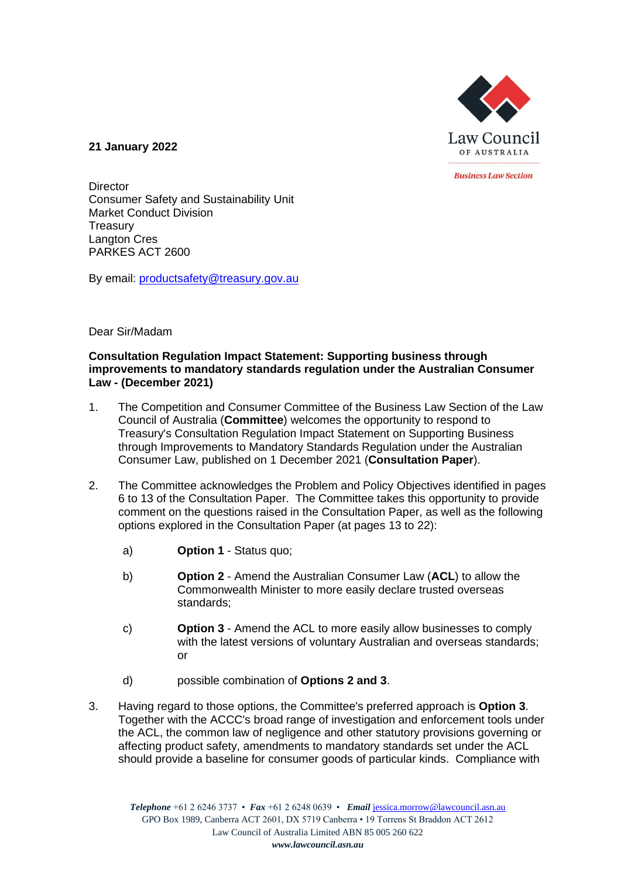

**21 January 2022**

**Business Law Section** 

**Director** Consumer Safety and Sustainability Unit Market Conduct Division **Treasury** Langton Cres PARKES ACT 2600

By email: [productsafety@treasury.gov.au](mailto:productsafety@treasury.gov.au)

## Dear Sir/Madam

#### **Consultation Regulation Impact Statement: Supporting business through improvements to mandatory standards regulation under the Australian Consumer Law - (December 2021)**

- 1. The Competition and Consumer Committee of the Business Law Section of the Law Council of Australia (**Committee**) welcomes the opportunity to respond to Treasury's Consultation Regulation Impact Statement on Supporting Business through Improvements to Mandatory Standards Regulation under the Australian Consumer Law, published on 1 December 2021 (**Consultation Paper**).
- 2. The Committee acknowledges the Problem and Policy Objectives identified in pages 6 to 13 of the Consultation Paper. The Committee takes this opportunity to provide comment on the questions raised in the Consultation Paper, as well as the following options explored in the Consultation Paper (at pages 13 to 22):
	- a) **Option 1**  Status quo;
	- b) **Option 2** Amend the Australian Consumer Law (**ACL**) to allow the Commonwealth Minister to more easily declare trusted overseas standards;
	- c) **Option 3**  Amend the ACL to more easily allow businesses to comply with the latest versions of voluntary Australian and overseas standards; or
	- d) possible combination of **Options 2 and 3**.
- 3. Having regard to those options, the Committee's preferred approach is **Option 3**. Together with the ACCC's broad range of investigation and enforcement tools under the ACL, the common law of negligence and other statutory provisions governing or affecting product safety, amendments to mandatory standards set under the ACL should provide a baseline for consumer goods of particular kinds. Compliance with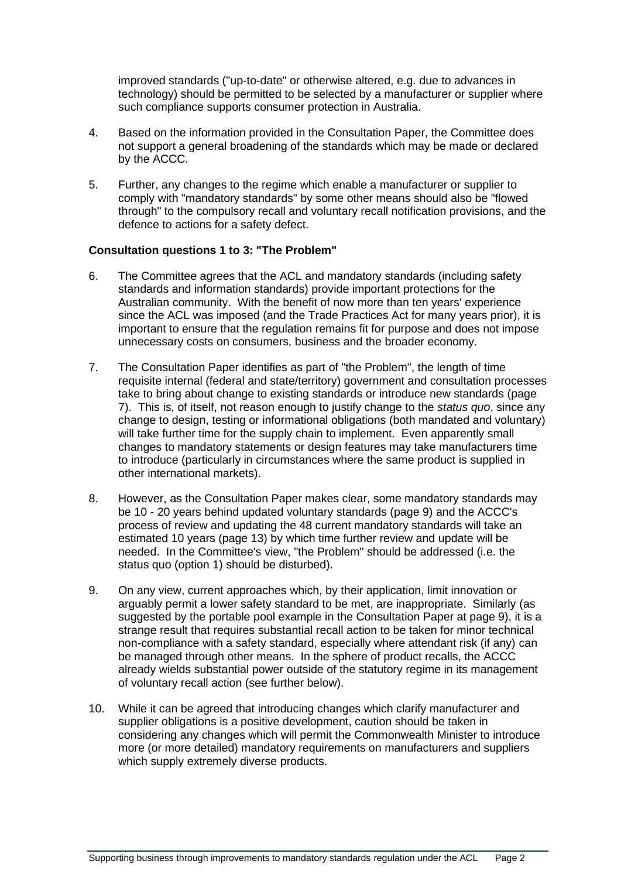improved standards ("up-to-date" or otherwise altered, e.g. due to advances in technology) should be permitted to be selected by a manufacturer or supplier where such compliance supports consumer protection in Australia.

- 4. Based on the information provided in the Consultation Paper, the Committee does not support a general broadening of the standards which may be made or declared by the ACCC.
- 5. Further, any changes to the regime which enable a manufacturer or supplier to comply with "mandatory standards" by some other means should also be "flowed through" to the compulsory recall and voluntary recall notification provisions, and the defence to actions for a safety defect.

## **Consultation questions 1 to 3: "The Problem"**

- 6. The Committee agrees that the ACL and mandatory standards (including safety standards and information standards) provide important protections for the Australian community. With the benefit of now more than ten years' experience since the ACL was imposed (and the Trade Practices Act for many years prior), it is important to ensure that the regulation remains fit for purpose and does not impose unnecessary costs on consumers, business and the broader economy.
- 7. The Consultation Paper identifies as part of "the Problem", the length of time requisite internal (federal and state/territory) government and consultation processes take to bring about change to existing standards or introduce new standards (page 7). This is, of itself, not reason enough to justify change to the *status quo*, since any change to design, testing or informational obligations (both mandated and voluntary) will take further time for the supply chain to implement. Even apparently small changes to mandatory statements or design features may take manufacturers time to introduce (particularly in circumstances where the same product is supplied in other international markets).
- 8. However, as the Consultation Paper makes clear, some mandatory standards may be 10 - 20 years behind updated voluntary standards (page 9) and the ACCC's process of review and updating the 48 current mandatory standards will take an estimated 10 years (page 13) by which time further review and update will be needed. In the Committee's view, "the Problem" should be addressed (i.e. the status quo (option 1) should be disturbed).
- 9. On any view, current approaches which, by their application, limit innovation or arguably permit a lower safety standard to be met, are inappropriate. Similarly (as suggested by the portable pool example in the Consultation Paper at page 9), it is a strange result that requires substantial recall action to be taken for minor technical non-compliance with a safety standard, especially where attendant risk (if any) can be managed through other means. In the sphere of product recalls, the ACCC already wields substantial power outside of the statutory regime in its management of voluntary recall action (see further below).
- 10. While it can be agreed that introducing changes which clarify manufacturer and supplier obligations is a positive development, caution should be taken in considering any changes which will permit the Commonwealth Minister to introduce more (or more detailed) mandatory requirements on manufacturers and suppliers which supply extremely diverse products.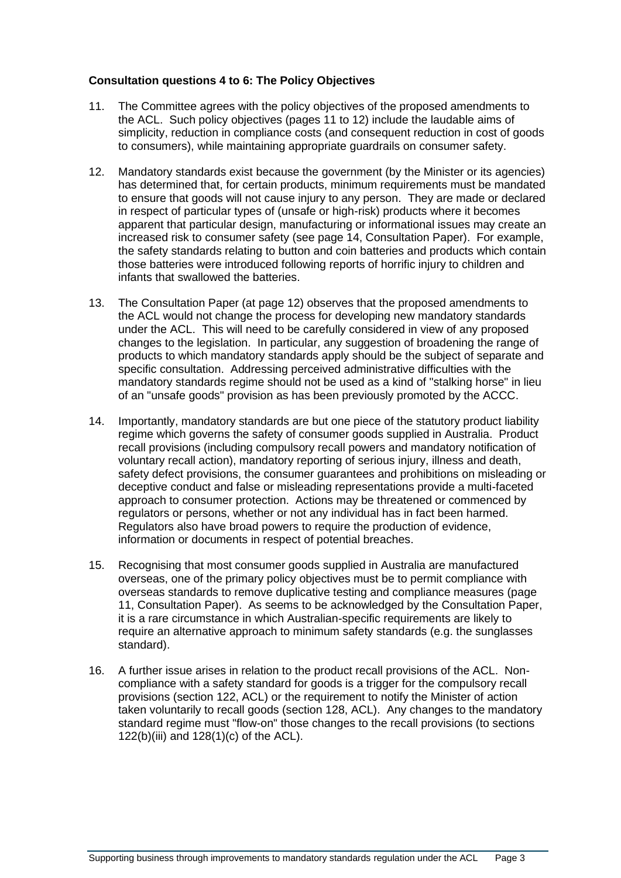## **Consultation questions 4 to 6: The Policy Objectives**

- 11. The Committee agrees with the policy objectives of the proposed amendments to the ACL. Such policy objectives (pages 11 to 12) include the laudable aims of simplicity, reduction in compliance costs (and consequent reduction in cost of goods to consumers), while maintaining appropriate guardrails on consumer safety.
- 12. Mandatory standards exist because the government (by the Minister or its agencies) has determined that, for certain products, minimum requirements must be mandated to ensure that goods will not cause injury to any person. They are made or declared in respect of particular types of (unsafe or high-risk) products where it becomes apparent that particular design, manufacturing or informational issues may create an increased risk to consumer safety (see page 14, Consultation Paper). For example, the safety standards relating to button and coin batteries and products which contain those batteries were introduced following reports of horrific injury to children and infants that swallowed the batteries.
- 13. The Consultation Paper (at page 12) observes that the proposed amendments to the ACL would not change the process for developing new mandatory standards under the ACL. This will need to be carefully considered in view of any proposed changes to the legislation. In particular, any suggestion of broadening the range of products to which mandatory standards apply should be the subject of separate and specific consultation. Addressing perceived administrative difficulties with the mandatory standards regime should not be used as a kind of "stalking horse" in lieu of an "unsafe goods" provision as has been previously promoted by the ACCC.
- 14. Importantly, mandatory standards are but one piece of the statutory product liability regime which governs the safety of consumer goods supplied in Australia. Product recall provisions (including compulsory recall powers and mandatory notification of voluntary recall action), mandatory reporting of serious injury, illness and death, safety defect provisions, the consumer guarantees and prohibitions on misleading or deceptive conduct and false or misleading representations provide a multi-faceted approach to consumer protection. Actions may be threatened or commenced by regulators or persons, whether or not any individual has in fact been harmed. Regulators also have broad powers to require the production of evidence, information or documents in respect of potential breaches.
- 15. Recognising that most consumer goods supplied in Australia are manufactured overseas, one of the primary policy objectives must be to permit compliance with overseas standards to remove duplicative testing and compliance measures (page 11, Consultation Paper). As seems to be acknowledged by the Consultation Paper, it is a rare circumstance in which Australian-specific requirements are likely to require an alternative approach to minimum safety standards (e.g. the sunglasses standard).
- 16. A further issue arises in relation to the product recall provisions of the ACL. Noncompliance with a safety standard for goods is a trigger for the compulsory recall provisions (section 122, ACL) or the requirement to notify the Minister of action taken voluntarily to recall goods (section 128, ACL). Any changes to the mandatory standard regime must "flow-on" those changes to the recall provisions (to sections 122(b)(iii) and 128(1)(c) of the ACL).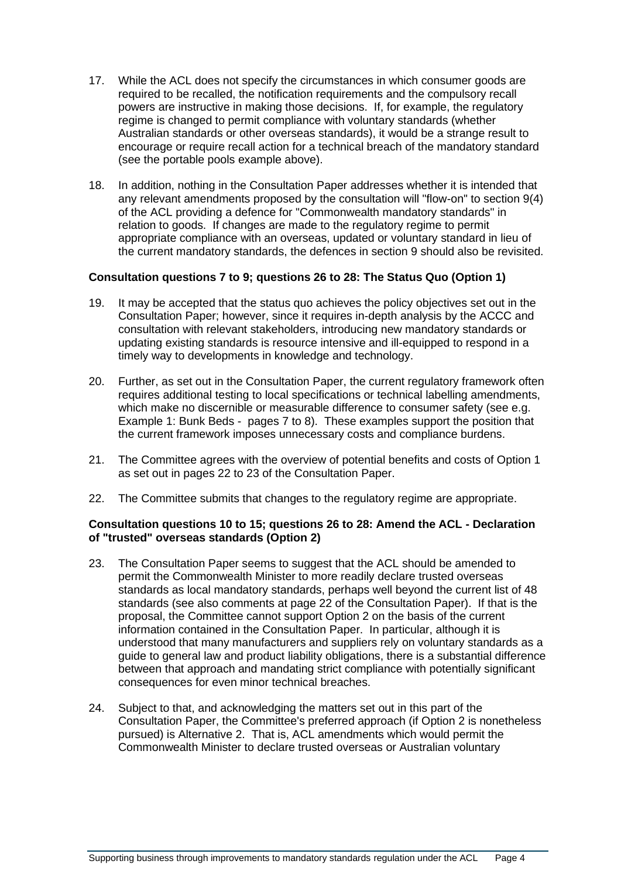- 17. While the ACL does not specify the circumstances in which consumer goods are required to be recalled, the notification requirements and the compulsory recall powers are instructive in making those decisions. If, for example, the regulatory regime is changed to permit compliance with voluntary standards (whether Australian standards or other overseas standards), it would be a strange result to encourage or require recall action for a technical breach of the mandatory standard (see the portable pools example above).
- 18. In addition, nothing in the Consultation Paper addresses whether it is intended that any relevant amendments proposed by the consultation will "flow-on" to section 9(4) of the ACL providing a defence for "Commonwealth mandatory standards" in relation to goods. If changes are made to the regulatory regime to permit appropriate compliance with an overseas, updated or voluntary standard in lieu of the current mandatory standards, the defences in section 9 should also be revisited.

## **Consultation questions 7 to 9; questions 26 to 28: The Status Quo (Option 1)**

- 19. It may be accepted that the status quo achieves the policy objectives set out in the Consultation Paper; however, since it requires in-depth analysis by the ACCC and consultation with relevant stakeholders, introducing new mandatory standards or updating existing standards is resource intensive and ill-equipped to respond in a timely way to developments in knowledge and technology.
- 20. Further, as set out in the Consultation Paper, the current regulatory framework often requires additional testing to local specifications or technical labelling amendments, which make no discernible or measurable difference to consumer safety (see e.g. Example 1: Bunk Beds - pages 7 to 8). These examples support the position that the current framework imposes unnecessary costs and compliance burdens.
- 21. The Committee agrees with the overview of potential benefits and costs of Option 1 as set out in pages 22 to 23 of the Consultation Paper.
- 22. The Committee submits that changes to the regulatory regime are appropriate.

## **Consultation questions 10 to 15; questions 26 to 28: Amend the ACL - Declaration of "trusted" overseas standards (Option 2)**

- 23. The Consultation Paper seems to suggest that the ACL should be amended to permit the Commonwealth Minister to more readily declare trusted overseas standards as local mandatory standards, perhaps well beyond the current list of 48 standards (see also comments at page 22 of the Consultation Paper). If that is the proposal, the Committee cannot support Option 2 on the basis of the current information contained in the Consultation Paper. In particular, although it is understood that many manufacturers and suppliers rely on voluntary standards as a guide to general law and product liability obligations, there is a substantial difference between that approach and mandating strict compliance with potentially significant consequences for even minor technical breaches.
- 24. Subject to that, and acknowledging the matters set out in this part of the Consultation Paper, the Committee's preferred approach (if Option 2 is nonetheless pursued) is Alternative 2. That is, ACL amendments which would permit the Commonwealth Minister to declare trusted overseas or Australian voluntary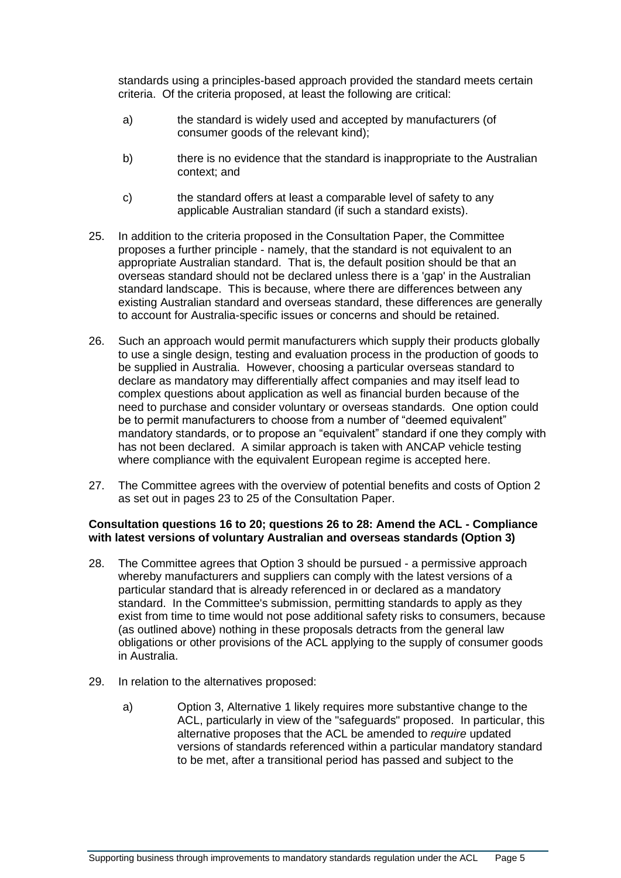standards using a principles-based approach provided the standard meets certain criteria. Of the criteria proposed, at least the following are critical:

- a) the standard is widely used and accepted by manufacturers (of consumer goods of the relevant kind);
- b) there is no evidence that the standard is inappropriate to the Australian context; and
- c) the standard offers at least a comparable level of safety to any applicable Australian standard (if such a standard exists).
- 25. In addition to the criteria proposed in the Consultation Paper, the Committee proposes a further principle - namely, that the standard is not equivalent to an appropriate Australian standard. That is, the default position should be that an overseas standard should not be declared unless there is a 'gap' in the Australian standard landscape. This is because, where there are differences between any existing Australian standard and overseas standard, these differences are generally to account for Australia-specific issues or concerns and should be retained.
- 26. Such an approach would permit manufacturers which supply their products globally to use a single design, testing and evaluation process in the production of goods to be supplied in Australia. However, choosing a particular overseas standard to declare as mandatory may differentially affect companies and may itself lead to complex questions about application as well as financial burden because of the need to purchase and consider voluntary or overseas standards. One option could be to permit manufacturers to choose from a number of "deemed equivalent" mandatory standards, or to propose an "equivalent" standard if one they comply with has not been declared. A similar approach is taken with ANCAP vehicle testing where compliance with the equivalent European regime is accepted here.
- 27. The Committee agrees with the overview of potential benefits and costs of Option 2 as set out in pages 23 to 25 of the Consultation Paper.

## **Consultation questions 16 to 20; questions 26 to 28: Amend the ACL - Compliance with latest versions of voluntary Australian and overseas standards (Option 3)**

- 28. The Committee agrees that Option 3 should be pursued a permissive approach whereby manufacturers and suppliers can comply with the latest versions of a particular standard that is already referenced in or declared as a mandatory standard. In the Committee's submission, permitting standards to apply as they exist from time to time would not pose additional safety risks to consumers, because (as outlined above) nothing in these proposals detracts from the general law obligations or other provisions of the ACL applying to the supply of consumer goods in Australia.
- 29. In relation to the alternatives proposed:
	- a) Option 3, Alternative 1 likely requires more substantive change to the ACL, particularly in view of the "safeguards" proposed. In particular, this alternative proposes that the ACL be amended to *require* updated versions of standards referenced within a particular mandatory standard to be met, after a transitional period has passed and subject to the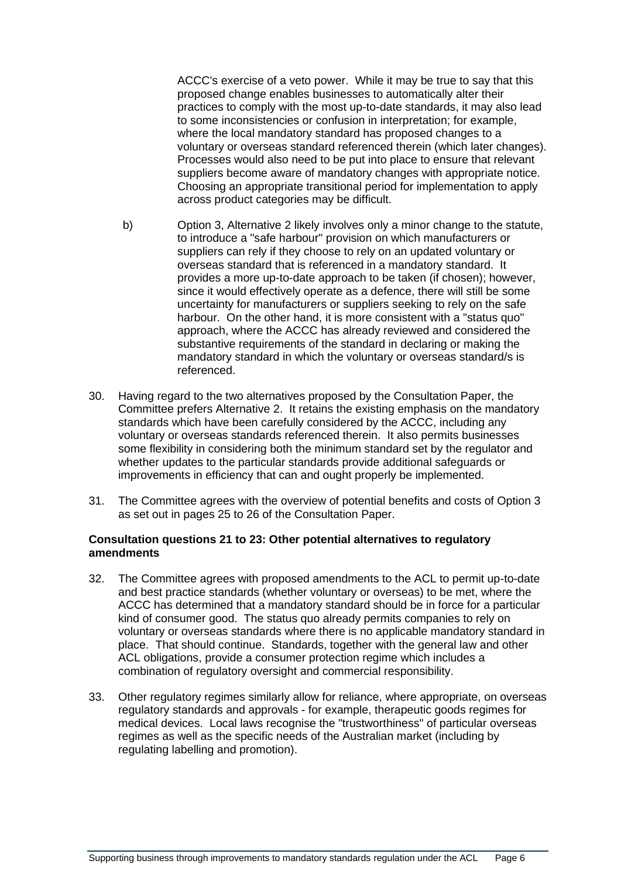ACCC's exercise of a veto power. While it may be true to say that this proposed change enables businesses to automatically alter their practices to comply with the most up-to-date standards, it may also lead to some inconsistencies or confusion in interpretation; for example, where the local mandatory standard has proposed changes to a voluntary or overseas standard referenced therein (which later changes). Processes would also need to be put into place to ensure that relevant suppliers become aware of mandatory changes with appropriate notice. Choosing an appropriate transitional period for implementation to apply across product categories may be difficult.

- b) Option 3, Alternative 2 likely involves only a minor change to the statute, to introduce a "safe harbour" provision on which manufacturers or suppliers can rely if they choose to rely on an updated voluntary or overseas standard that is referenced in a mandatory standard. It provides a more up-to-date approach to be taken (if chosen); however, since it would effectively operate as a defence, there will still be some uncertainty for manufacturers or suppliers seeking to rely on the safe harbour. On the other hand, it is more consistent with a "status quo" approach, where the ACCC has already reviewed and considered the substantive requirements of the standard in declaring or making the mandatory standard in which the voluntary or overseas standard/s is referenced.
- 30. Having regard to the two alternatives proposed by the Consultation Paper, the Committee prefers Alternative 2. It retains the existing emphasis on the mandatory standards which have been carefully considered by the ACCC, including any voluntary or overseas standards referenced therein. It also permits businesses some flexibility in considering both the minimum standard set by the regulator and whether updates to the particular standards provide additional safeguards or improvements in efficiency that can and ought properly be implemented.
- 31. The Committee agrees with the overview of potential benefits and costs of Option 3 as set out in pages 25 to 26 of the Consultation Paper.

## **Consultation questions 21 to 23: Other potential alternatives to regulatory amendments**

- 32. The Committee agrees with proposed amendments to the ACL to permit up-to-date and best practice standards (whether voluntary or overseas) to be met, where the ACCC has determined that a mandatory standard should be in force for a particular kind of consumer good. The status quo already permits companies to rely on voluntary or overseas standards where there is no applicable mandatory standard in place. That should continue. Standards, together with the general law and other ACL obligations, provide a consumer protection regime which includes a combination of regulatory oversight and commercial responsibility.
- 33. Other regulatory regimes similarly allow for reliance, where appropriate, on overseas regulatory standards and approvals - for example, therapeutic goods regimes for medical devices. Local laws recognise the "trustworthiness" of particular overseas regimes as well as the specific needs of the Australian market (including by regulating labelling and promotion).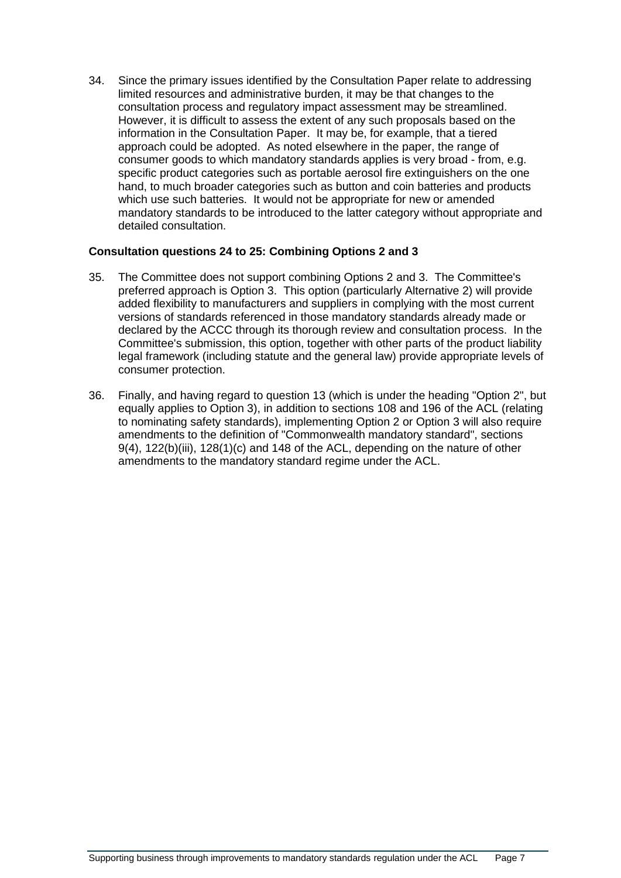34. Since the primary issues identified by the Consultation Paper relate to addressing limited resources and administrative burden, it may be that changes to the consultation process and regulatory impact assessment may be streamlined. However, it is difficult to assess the extent of any such proposals based on the information in the Consultation Paper. It may be, for example, that a tiered approach could be adopted. As noted elsewhere in the paper, the range of consumer goods to which mandatory standards applies is very broad - from, e.g. specific product categories such as portable aerosol fire extinguishers on the one hand, to much broader categories such as button and coin batteries and products which use such batteries. It would not be appropriate for new or amended mandatory standards to be introduced to the latter category without appropriate and detailed consultation.

## **Consultation questions 24 to 25: Combining Options 2 and 3**

- 35. The Committee does not support combining Options 2 and 3. The Committee's preferred approach is Option 3. This option (particularly Alternative 2) will provide added flexibility to manufacturers and suppliers in complying with the most current versions of standards referenced in those mandatory standards already made or declared by the ACCC through its thorough review and consultation process. In the Committee's submission, this option, together with other parts of the product liability legal framework (including statute and the general law) provide appropriate levels of consumer protection.
- 36. Finally, and having regard to question 13 (which is under the heading "Option 2", but equally applies to Option 3), in addition to sections 108 and 196 of the ACL (relating to nominating safety standards), implementing Option 2 or Option 3 will also require amendments to the definition of "Commonwealth mandatory standard", sections 9(4), 122(b)(iii), 128(1)(c) and 148 of the ACL, depending on the nature of other amendments to the mandatory standard regime under the ACL.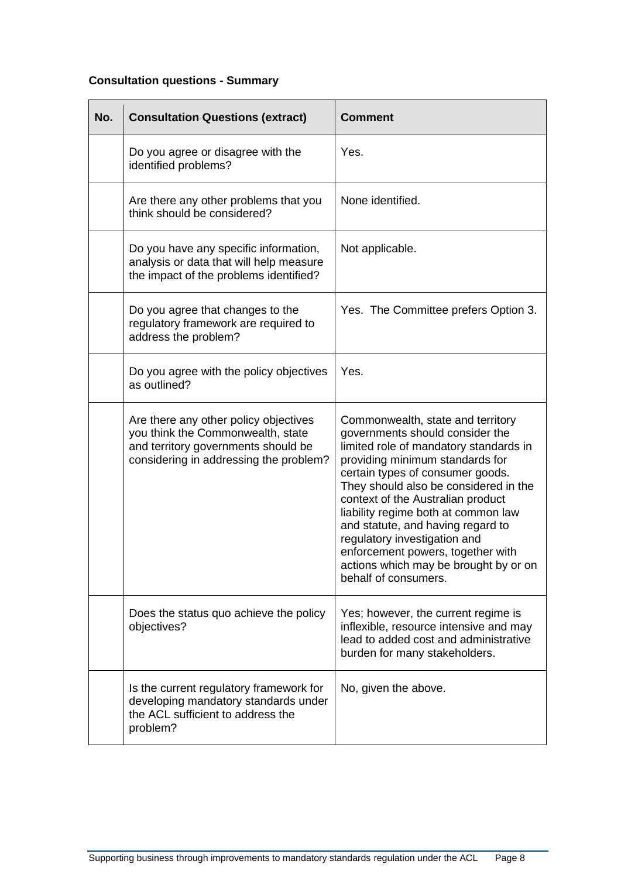# **Consultation questions - Summary**

| No. | <b>Consultation Questions (extract)</b>                                                                                                                     | <b>Comment</b>                                                                                                                                                                                                                                                                                                                                                                                                                                                                        |
|-----|-------------------------------------------------------------------------------------------------------------------------------------------------------------|---------------------------------------------------------------------------------------------------------------------------------------------------------------------------------------------------------------------------------------------------------------------------------------------------------------------------------------------------------------------------------------------------------------------------------------------------------------------------------------|
|     | Do you agree or disagree with the<br>identified problems?                                                                                                   | Yes.                                                                                                                                                                                                                                                                                                                                                                                                                                                                                  |
|     | Are there any other problems that you<br>think should be considered?                                                                                        | None identified.                                                                                                                                                                                                                                                                                                                                                                                                                                                                      |
|     | Do you have any specific information,<br>analysis or data that will help measure<br>the impact of the problems identified?                                  | Not applicable.                                                                                                                                                                                                                                                                                                                                                                                                                                                                       |
|     | Do you agree that changes to the<br>regulatory framework are required to<br>address the problem?                                                            | Yes. The Committee prefers Option 3.                                                                                                                                                                                                                                                                                                                                                                                                                                                  |
|     | Do you agree with the policy objectives<br>as outlined?                                                                                                     | Yes.                                                                                                                                                                                                                                                                                                                                                                                                                                                                                  |
|     | Are there any other policy objectives<br>you think the Commonwealth, state<br>and territory governments should be<br>considering in addressing the problem? | Commonwealth, state and territory<br>governments should consider the<br>limited role of mandatory standards in<br>providing minimum standards for<br>certain types of consumer goods.<br>They should also be considered in the<br>context of the Australian product<br>liability regime both at common law<br>and statute, and having regard to<br>regulatory investigation and<br>enforcement powers, together with<br>actions which may be brought by or on<br>behalf of consumers. |
|     | Does the status quo achieve the policy<br>objectives?                                                                                                       | Yes; however, the current regime is<br>inflexible, resource intensive and may<br>lead to added cost and administrative<br>burden for many stakeholders.                                                                                                                                                                                                                                                                                                                               |
|     | Is the current regulatory framework for<br>developing mandatory standards under<br>the ACL sufficient to address the<br>problem?                            | No, given the above.                                                                                                                                                                                                                                                                                                                                                                                                                                                                  |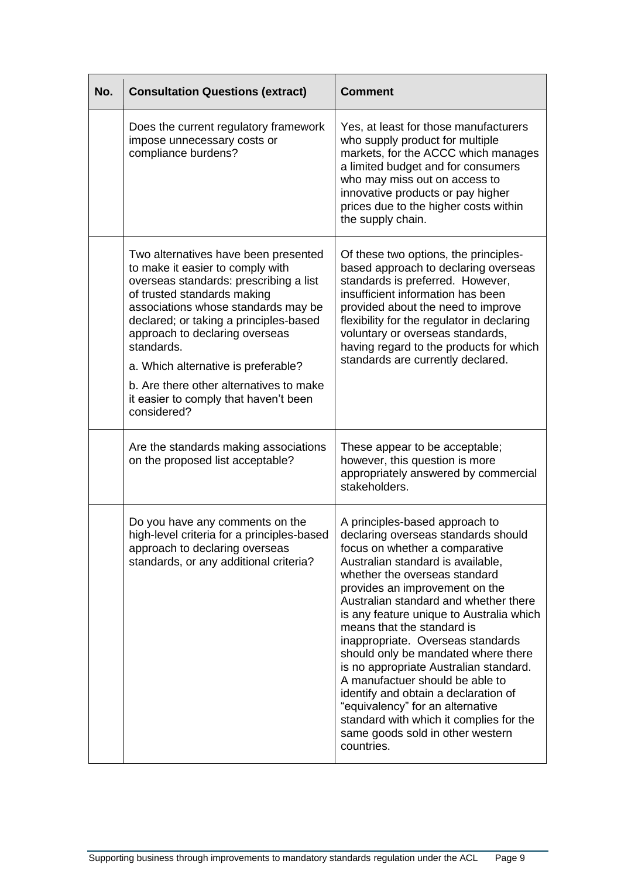| No. | <b>Consultation Questions (extract)</b>                                                                                                                                                                                                                                                                                                                                                                                      | <b>Comment</b>                                                                                                                                                                                                                                                                                                                                                                                                                                                                                                                                                                                                                                                       |
|-----|------------------------------------------------------------------------------------------------------------------------------------------------------------------------------------------------------------------------------------------------------------------------------------------------------------------------------------------------------------------------------------------------------------------------------|----------------------------------------------------------------------------------------------------------------------------------------------------------------------------------------------------------------------------------------------------------------------------------------------------------------------------------------------------------------------------------------------------------------------------------------------------------------------------------------------------------------------------------------------------------------------------------------------------------------------------------------------------------------------|
|     | Does the current regulatory framework<br>impose unnecessary costs or<br>compliance burdens?                                                                                                                                                                                                                                                                                                                                  | Yes, at least for those manufacturers<br>who supply product for multiple<br>markets, for the ACCC which manages<br>a limited budget and for consumers<br>who may miss out on access to<br>innovative products or pay higher<br>prices due to the higher costs within<br>the supply chain.                                                                                                                                                                                                                                                                                                                                                                            |
|     | Two alternatives have been presented<br>to make it easier to comply with<br>overseas standards: prescribing a list<br>of trusted standards making<br>associations whose standards may be<br>declared; or taking a principles-based<br>approach to declaring overseas<br>standards.<br>a. Which alternative is preferable?<br>b. Are there other alternatives to make<br>it easier to comply that haven't been<br>considered? | Of these two options, the principles-<br>based approach to declaring overseas<br>standards is preferred. However,<br>insufficient information has been<br>provided about the need to improve<br>flexibility for the regulator in declaring<br>voluntary or overseas standards,<br>having regard to the products for which<br>standards are currently declared.                                                                                                                                                                                                                                                                                                       |
|     | Are the standards making associations<br>on the proposed list acceptable?                                                                                                                                                                                                                                                                                                                                                    | These appear to be acceptable;<br>however, this question is more<br>appropriately answered by commercial<br>stakeholders.                                                                                                                                                                                                                                                                                                                                                                                                                                                                                                                                            |
|     | Do you have any comments on the<br>high-level criteria for a principles-based<br>approach to declaring overseas<br>standards, or any additional criteria?                                                                                                                                                                                                                                                                    | A principles-based approach to<br>declaring overseas standards should<br>focus on whether a comparative<br>Australian standard is available,<br>whether the overseas standard<br>provides an improvement on the<br>Australian standard and whether there<br>is any feature unique to Australia which<br>means that the standard is<br>inappropriate. Overseas standards<br>should only be mandated where there<br>is no appropriate Australian standard.<br>A manufactuer should be able to<br>identify and obtain a declaration of<br>"equivalency" for an alternative<br>standard with which it complies for the<br>same goods sold in other western<br>countries. |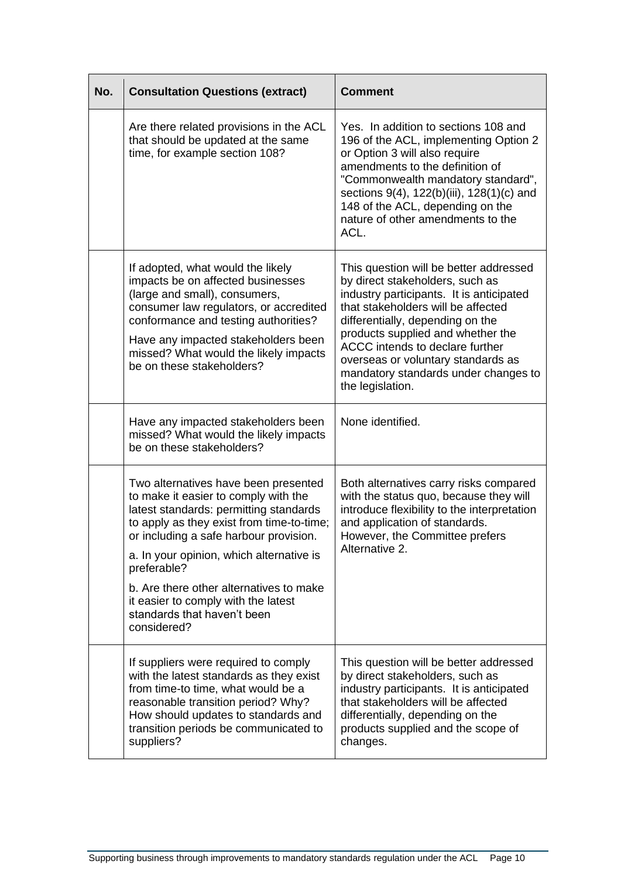| No. | <b>Consultation Questions (extract)</b>                                                                                                                                                                                                                                                                                                                                                                  | <b>Comment</b>                                                                                                                                                                                                                                                                                                                                                            |
|-----|----------------------------------------------------------------------------------------------------------------------------------------------------------------------------------------------------------------------------------------------------------------------------------------------------------------------------------------------------------------------------------------------------------|---------------------------------------------------------------------------------------------------------------------------------------------------------------------------------------------------------------------------------------------------------------------------------------------------------------------------------------------------------------------------|
|     | Are there related provisions in the ACL<br>that should be updated at the same<br>time, for example section 108?                                                                                                                                                                                                                                                                                          | Yes. In addition to sections 108 and<br>196 of the ACL, implementing Option 2<br>or Option 3 will also require<br>amendments to the definition of<br>"Commonwealth mandatory standard",<br>sections 9(4), 122(b)(iii), 128(1)(c) and<br>148 of the ACL, depending on the<br>nature of other amendments to the<br>ACL.                                                     |
|     | If adopted, what would the likely<br>impacts be on affected businesses<br>(large and small), consumers,<br>consumer law regulators, or accredited<br>conformance and testing authorities?<br>Have any impacted stakeholders been<br>missed? What would the likely impacts<br>be on these stakeholders?                                                                                                   | This question will be better addressed<br>by direct stakeholders, such as<br>industry participants. It is anticipated<br>that stakeholders will be affected<br>differentially, depending on the<br>products supplied and whether the<br>ACCC intends to declare further<br>overseas or voluntary standards as<br>mandatory standards under changes to<br>the legislation. |
|     | Have any impacted stakeholders been<br>missed? What would the likely impacts<br>be on these stakeholders?                                                                                                                                                                                                                                                                                                | None identified.                                                                                                                                                                                                                                                                                                                                                          |
|     | Two alternatives have been presented<br>to make it easier to comply with the<br>latest standards: permitting standards<br>to apply as they exist from time-to-time;<br>or including a safe harbour provision.<br>a. In your opinion, which alternative is<br>preferable?<br>b. Are there other alternatives to make<br>it easier to comply with the latest<br>standards that haven't been<br>considered? | Both alternatives carry risks compared<br>with the status quo, because they will<br>introduce flexibility to the interpretation<br>and application of standards.<br>However, the Committee prefers<br>Alternative 2.                                                                                                                                                      |
|     | If suppliers were required to comply<br>with the latest standards as they exist<br>from time-to time, what would be a<br>reasonable transition period? Why?<br>How should updates to standards and<br>transition periods be communicated to<br>suppliers?                                                                                                                                                | This question will be better addressed<br>by direct stakeholders, such as<br>industry participants. It is anticipated<br>that stakeholders will be affected<br>differentially, depending on the<br>products supplied and the scope of<br>changes.                                                                                                                         |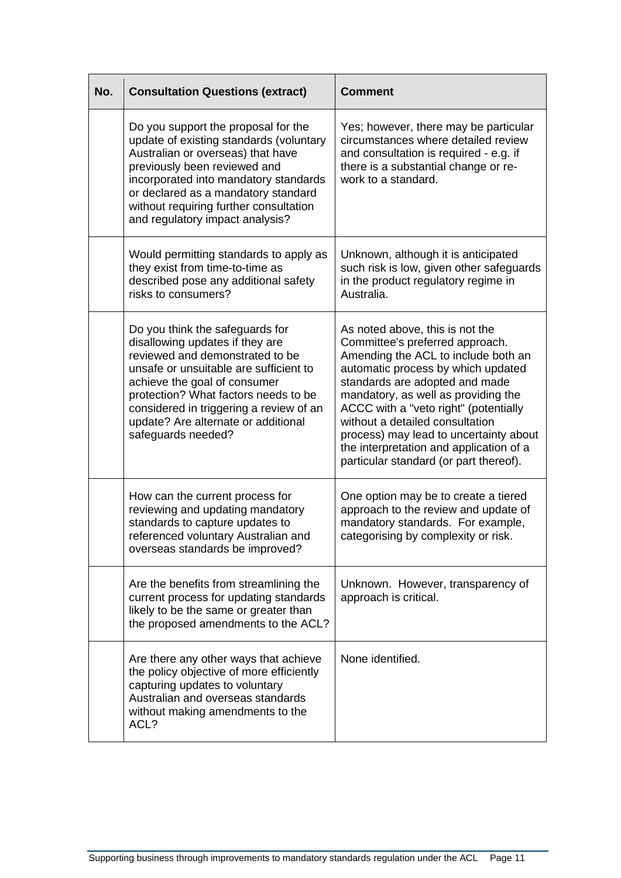| No. | <b>Consultation Questions (extract)</b>                                                                                                                                                                                                                                                                                         | <b>Comment</b>                                                                                                                                                                                                                                                                                                                                                                                                                      |
|-----|---------------------------------------------------------------------------------------------------------------------------------------------------------------------------------------------------------------------------------------------------------------------------------------------------------------------------------|-------------------------------------------------------------------------------------------------------------------------------------------------------------------------------------------------------------------------------------------------------------------------------------------------------------------------------------------------------------------------------------------------------------------------------------|
|     | Do you support the proposal for the<br>update of existing standards (voluntary<br>Australian or overseas) that have<br>previously been reviewed and<br>incorporated into mandatory standards<br>or declared as a mandatory standard<br>without requiring further consultation<br>and regulatory impact analysis?                | Yes; however, there may be particular<br>circumstances where detailed review<br>and consultation is required - e.g. if<br>there is a substantial change or re-<br>work to a standard.                                                                                                                                                                                                                                               |
|     | Would permitting standards to apply as<br>they exist from time-to-time as<br>described pose any additional safety<br>risks to consumers?                                                                                                                                                                                        | Unknown, although it is anticipated<br>such risk is low, given other safeguards<br>in the product regulatory regime in<br>Australia.                                                                                                                                                                                                                                                                                                |
|     | Do you think the safeguards for<br>disallowing updates if they are<br>reviewed and demonstrated to be<br>unsafe or unsuitable are sufficient to<br>achieve the goal of consumer<br>protection? What factors needs to be<br>considered in triggering a review of an<br>update? Are alternate or additional<br>safeguards needed? | As noted above, this is not the<br>Committee's preferred approach.<br>Amending the ACL to include both an<br>automatic process by which updated<br>standards are adopted and made<br>mandatory, as well as providing the<br>ACCC with a "veto right" (potentially<br>without a detailed consultation<br>process) may lead to uncertainty about<br>the interpretation and application of a<br>particular standard (or part thereof). |
|     | How can the current process for<br>reviewing and updating mandatory<br>standards to capture updates to<br>referenced voluntary Australian and<br>overseas standards be improved?                                                                                                                                                | One option may be to create a tiered<br>approach to the review and update of<br>mandatory standards. For example,<br>categorising by complexity or risk.                                                                                                                                                                                                                                                                            |
|     | Are the benefits from streamlining the<br>current process for updating standards<br>likely to be the same or greater than<br>the proposed amendments to the ACL?                                                                                                                                                                | Unknown. However, transparency of<br>approach is critical.                                                                                                                                                                                                                                                                                                                                                                          |
|     | Are there any other ways that achieve<br>the policy objective of more efficiently<br>capturing updates to voluntary<br>Australian and overseas standards<br>without making amendments to the<br>ACL?                                                                                                                            | None identified.                                                                                                                                                                                                                                                                                                                                                                                                                    |